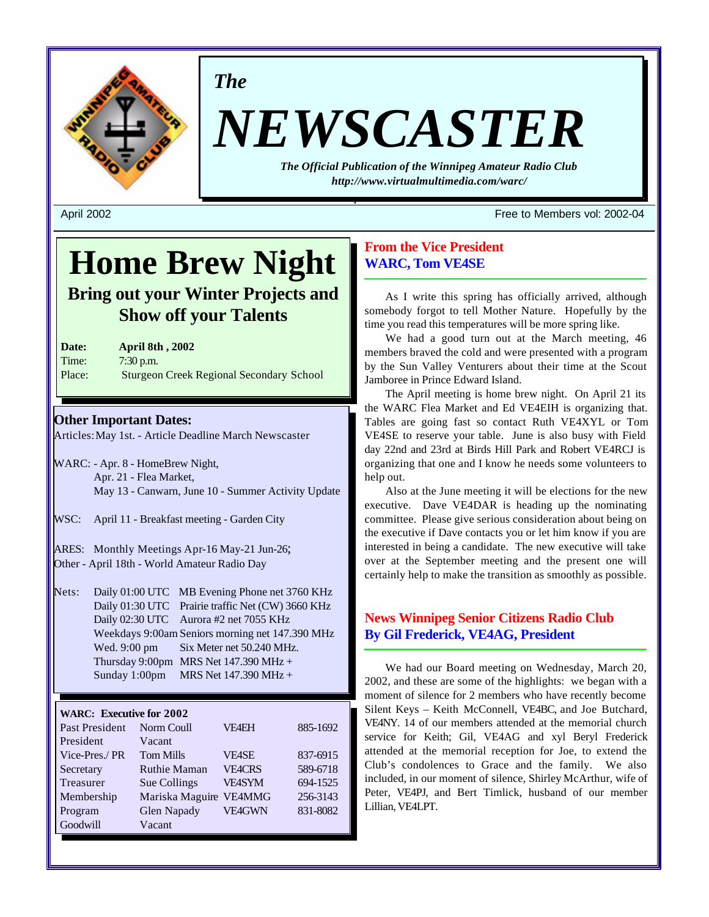

*The*

# *NEWSCASTER*

*The Official Publication of the Winnipeg Amateur Radio Club <http://www.virtualmultimedia.com/warc/>*

April 2002 Free to Members vol: 2002-04

# **Home Brew Night**

**Bring out your Winter Projects and Show off your Talents**

**Date: April 8th , 2002** Time: 7:30 p.m. Place: Sturgeon Creek Regional Secondary School

# **Other Important Dates:**

Articles: May 1st. - Article Deadline March Newscaster

- WARC: Apr. 8 HomeBrew Night, Apr. 21 - Flea Market, May 13 - Canwarn, June 10 - Summer Activity Update
- WSC: April 11 Breakfast meeting Garden City

ARES: Monthly Meetings Apr-16 May-21 Jun-26; Other - April 18th - World Amateur Radio Day

Nets: Daily 01:00 UTC MB Evening Phone net 3760 KHz Daily 01:30 UTC Prairie traffic Net (CW) 3660 KHz Daily 02:30 UTC Aurora #2 net 7055 KHz Weekdays 9:00am Seniors morning net 147.390 MHz Wed. 9:00 pm Six Meter net 50.240 MHz. Thursday 9:00pm MRS Net  $147.390$  MHz + Sunday 1:00pm MRS Net 147.390 MHz +

# **WARC: Executive for 2002**

| Past President | Norm Coull             | <b>VF4EH</b>  | 885-1692 |
|----------------|------------------------|---------------|----------|
| President      | Vacant                 |               |          |
| Vice-Pres./PR  | <b>Tom Mills</b>       | <b>VEASE</b>  | 837-6915 |
| Secretary      | <b>Ruthie Maman</b>    | <b>VE4CRS</b> | 589-6718 |
| Treasurer      | Sue Collings           | <b>VE4SYM</b> | 694-1525 |
| Membership     | Mariska Maguire VE4MMG |               | 256-3143 |
| Program        | Glen Napady            | <b>VE4GWN</b> | 831-8082 |
| Goodwill       | Vacant                 |               |          |

# **From the Vice President WARC, Tom VE4SE**

As I write this spring has officially arrived, although somebody forgot to tell Mother Nature. Hopefully by the time you read this temperatures will be more spring like.

We had a good turn out at the March meeting, 46 members braved the cold and were presented with a program by the Sun Valley Venturers about their time at the Scout Jamboree in Prince Edward Island.

The April meeting is home brew night. On April 21 its the WARC Flea Market and Ed VE4EIH is organizing that. Tables are going fast so contact Ruth VE4XYL or Tom VE4SE to reserve your table. June is also busy with Field day 22nd and 23rd at Birds Hill Park and Robert VE4RCJ is organizing that one and I know he needs some volunteers to help out.

Also at the June meeting it will be elections for the new executive. Dave VE4DAR is heading up the nominating committee. Please give serious consideration about being on the executive if Dave contacts you or let him know if you are interested in being a candidate. The new executive will take over at the September meeting and the present one will certainly help to make the transition as smoothly as possible.

# **News Winnipeg Senior Citizens Radio Club By Gil Frederick, VE4AG, President**

We had our Board meeting on Wednesday, March 20, 2002, and these are some of the highlights: we began with a moment of silence for 2 members who have recently become Silent Keys – Keith McConnell, VE4BC, and Joe Butchard, VE4NY. 14 of our members attended at the memorial church service for Keith; Gil, VE4AG and xyl Beryl Frederick attended at the memorial reception for Joe, to extend the Club's condolences to Grace and the family. We also included, in our moment of silence, Shirley McArthur, wife of Peter, VE4PJ, and Bert Timlick, husband of our member Lillian, VE4LPT.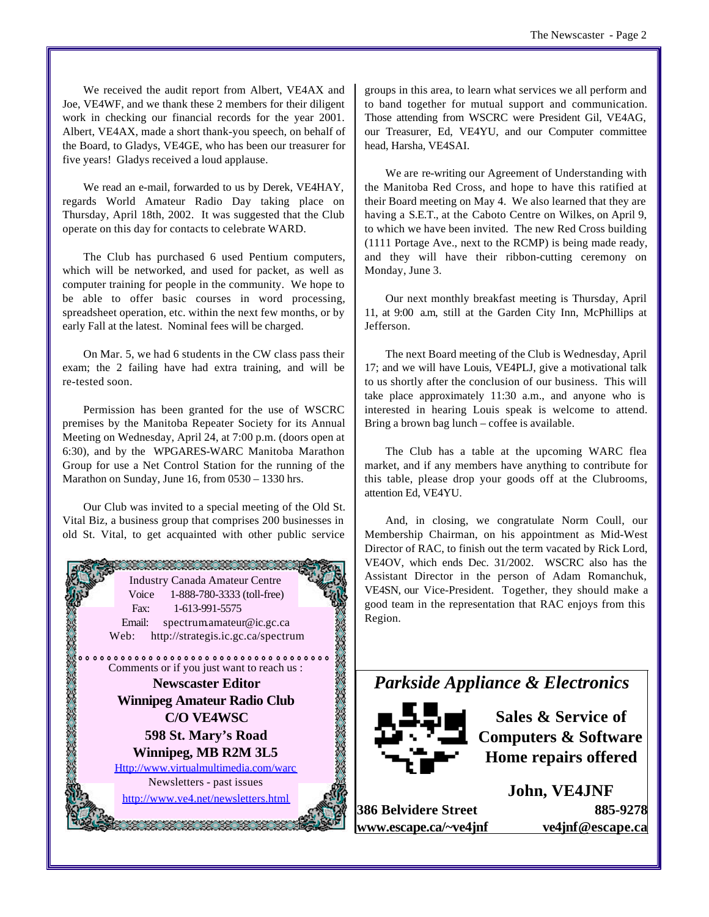We received the audit report from Albert, VE4AX and Joe, VE4WF, and we thank these 2 members for their diligent work in checking our financial records for the year 2001. Albert, VE4AX, made a short thank-you speech, on behalf of the Board, to Gladys, VE4GE, who has been our treasurer for five years! Gladys received a loud applause.

We read an e-mail, forwarded to us by Derek, VE4HAY, regards World Amateur Radio Day taking place on Thursday, April 18th, 2002. It was suggested that the Club operate on this day for contacts to celebrate WARD.

The Club has purchased 6 used Pentium computers, which will be networked, and used for packet, as well as computer training for people in the community. We hope to be able to offer basic courses in word processing, spreadsheet operation, etc. within the next few months, or by early Fall at the latest. Nominal fees will be charged.

On Mar. 5, we had 6 students in the CW class pass their exam; the 2 failing have had extra training, and will be re-tested soon.

Permission has been granted for the use of WSCRC premises by the Manitoba Repeater Society for its Annual Meeting on Wednesday, April 24, at 7:00 p.m. (doors open at 6:30), and by the WPGARES-WARC Manitoba Marathon Group for use a Net Control Station for the running of the Marathon on Sunday, June 16, from 0530 – 1330 hrs.

Our Club was invited to a special meeting of the Old St. Vital Biz, a business group that comprises 200 businesses in old St. Vital, to get acquainted with other public service



groups in this area, to learn what services we all perform and to band together for mutual support and communication. Those attending from WSCRC were President Gil, VE4AG, our Treasurer, Ed, VE4YU, and our Computer committee head, Harsha, VE4SAI.

We are re-writing our Agreement of Understanding with the Manitoba Red Cross, and hope to have this ratified at their Board meeting on May 4. We also learned that they are having a S.E.T., at the Caboto Centre on Wilkes, on April 9, to which we have been invited. The new Red Cross building (1111 Portage Ave., next to the RCMP) is being made ready, and they will have their ribbon-cutting ceremony on Monday, June 3.

Our next monthly breakfast meeting is Thursday, April 11, at 9:00 a.m, still at the Garden City Inn, McPhillips at Jefferson.

The next Board meeting of the Club is Wednesday, April 17; and we will have Louis, VE4PLJ, give a motivational talk to us shortly after the conclusion of our business. This will take place approximately 11:30 a.m., and anyone who is interested in hearing Louis speak is welcome to attend. Bring a brown bag lunch – coffee is available.

The Club has a table at the upcoming WARC flea market, and if any members have anything to contribute for this table, please drop your goods off at the Clubrooms, attention Ed, VE4YU.

And, in closing, we congratulate Norm Coull, our Membership Chairman, on his appointment as Mid-West Director of RAC, to finish out the term vacated by Rick Lord, VE4OV, which ends Dec. 31/2002. WSCRC also has the Assistant Director in the person of Adam Romanchuk, VE4SN, our Vice-President. Together, they should make a good team in the representation that RAC enjoys from this Region.





**Sales & Service of Computers & Software Home repairs offered**

**386 Belvidere Street 885-9278 www.escape.ca/~ve4jnf ve4jnf@escape.ca**

**John, VE4JNF**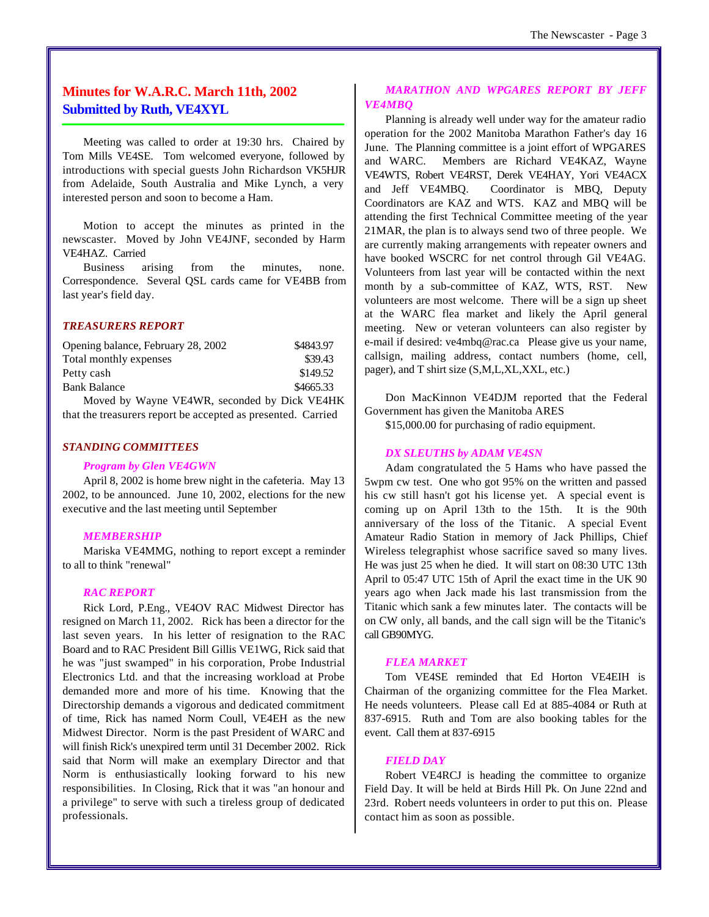# **Minutes for W.A.R.C. March 11th, 2002 Submitted by Ruth, VE4XYL**

Meeting was called to order at 19:30 hrs. Chaired by Tom Mills VE4SE. Tom welcomed everyone, followed by introductions with special guests John Richardson VK5HJR from Adelaide, South Australia and Mike Lynch, a very interested person and soon to become a Ham.

Motion to accept the minutes as printed in the newscaster. Moved by John VE4JNF, seconded by Harm VE4HAZ. Carried

Business arising from the minutes, none. Correspondence. Several QSL cards came for VE4BB from last year's field day.

# *TREASURERS REPORT*

| Opening balance, February 28, 2002           | \$4843.97 |
|----------------------------------------------|-----------|
| Total monthly expenses                       | \$39.43   |
| Petty cash                                   | \$149.52  |
| <b>Bank Balance</b>                          | \$4665.33 |
| Moved by Wayne VE4WR, seconded by Dick VE4HK |           |

that the treasurers report be accepted as presented. Carried

# *STANDING COMMITTEES*

#### *Program by Glen VE4GWN*

April 8, 2002 is home brew night in the cafeteria. May 13 2002, to be announced. June 10, 2002, elections for the new executive and the last meeting until September

#### *MEMBERSHIP*

Mariska VE4MMG, nothing to report except a reminder to all to think "renewal"

#### *RAC REPORT*

Rick Lord, P.Eng., VE4OV RAC Midwest Director has resigned on March 11, 2002. Rick has been a director for the last seven years. In his letter of resignation to the RAC Board and to RAC President Bill Gillis VE1WG, Rick said that he was "just swamped" in his corporation, Probe Industrial Electronics Ltd. and that the increasing workload at Probe demanded more and more of his time. Knowing that the Directorship demands a vigorous and dedicated commitment of time, Rick has named Norm Coull, VE4EH as the new Midwest Director. Norm is the past President of WARC and will finish Rick's unexpired term until 31 December 2002. Rick said that Norm will make an exemplary Director and that Norm is enthusiastically looking forward to his new responsibilities. In Closing, Rick that it was "an honour and a privilege" to serve with such a tireless group of dedicated professionals.

# *MARATHON AND WPGARES REPORT BY JEFF VE4MBQ*

Planning is already well under way for the amateur radio operation for the 2002 Manitoba Marathon Father's day 16 June. The Planning committee is a joint effort of WPGARES and WARC. Members are Richard VE4KAZ, Wayne VE4WTS, Robert VE4RST, Derek VE4HAY, Yori VE4ACX and Jeff VE4MBQ. Coordinator is MBQ, Deputy Coordinators are KAZ and WTS. KAZ and MBQ will be attending the first Technical Committee meeting of the year 21MAR, the plan is to always send two of three people. We are currently making arrangements with repeater owners and have booked WSCRC for net control through Gil VE4AG. Volunteers from last year will be contacted within the next month by a sub-committee of KAZ, WTS, RST. New volunteers are most welcome. There will be a sign up sheet at the WARC flea market and likely the April general meeting. New or veteran volunteers can also register by e-mail if desired: ve4mbq@rac.ca Please give us your name, callsign, mailing address, contact numbers (home, cell, pager), and T shirt size (S,M,L,XL,XXL, etc.)

Don MacKinnon VE4DJM reported that the Federal Government has given the Manitoba ARES

\$15,000.00 for purchasing of radio equipment.

# *DX SLEUTHS by ADAM VE4SN*

Adam congratulated the 5 Hams who have passed the 5wpm cw test. One who got 95% on the written and passed his cw still hasn't got his license yet. A special event is coming up on April 13th to the 15th. It is the 90th anniversary of the loss of the Titanic. A special Event Amateur Radio Station in memory of Jack Phillips, Chief Wireless telegraphist whose sacrifice saved so many lives. He was just 25 when he died. It will start on 08:30 UTC 13th April to 05:47 UTC 15th of April the exact time in the UK 90 years ago when Jack made his last transmission from the Titanic which sank a few minutes later. The contacts will be on CW only, all bands, and the call sign will be the Titanic's call GB90MYG.

# *FLEA MARKET*

Tom VE4SE reminded that Ed Horton VE4EIH is Chairman of the organizing committee for the Flea Market. He needs volunteers. Please call Ed at 885-4084 or Ruth at 837-6915. Ruth and Tom are also booking tables for the event. Call them at 837-6915

#### *FIELD DAY*

Robert VE4RCJ is heading the committee to organize Field Day. It will be held at Birds Hill Pk. On June 22nd and 23rd. Robert needs volunteers in order to put this on. Please contact him as soon as possible.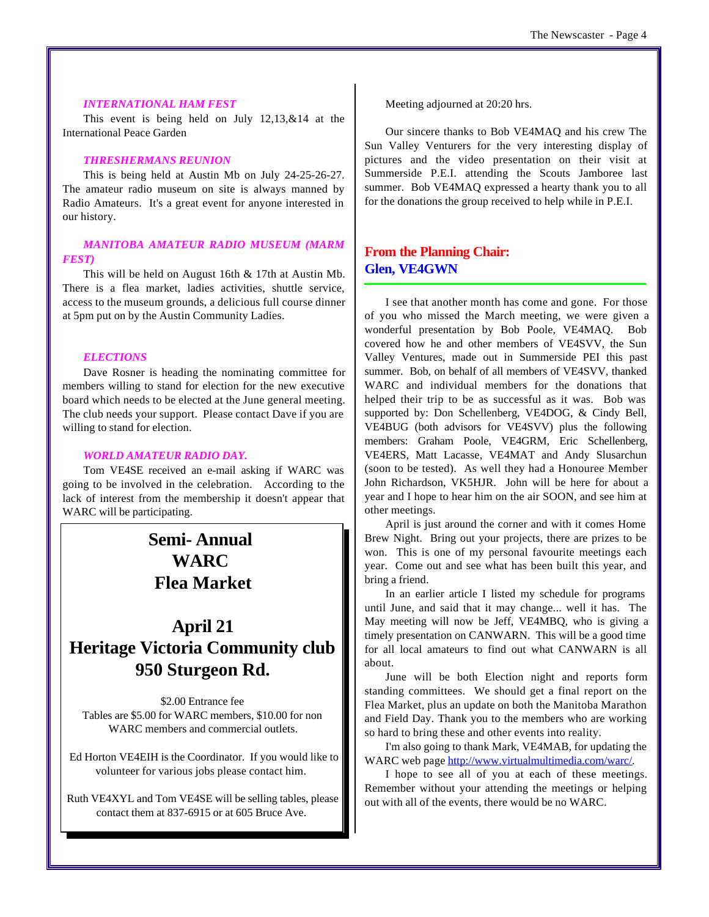#### *INTERNATIONAL HAM FEST*

This event is being held on July 12,13,&14 at the International Peace Garden

# *THRESHERMANS REUNION*

This is being held at Austin Mb on July 24-25-26-27. The amateur radio museum on site is always manned by Radio Amateurs. It's a great event for anyone interested in our history.

# *MANITOBA AMATEUR RADIO MUSEUM (MARM FEST)*

This will be held on August 16th & 17th at Austin Mb. There is a flea market, ladies activities, shuttle service, access to the museum grounds, a delicious full course dinner at 5pm put on by the Austin Community Ladies.

# *ELECTIONS*

Dave Rosner is heading the nominating committee for members willing to stand for election for the new executive board which needs to be elected at the June general meeting. The club needs your support. Please contact Dave if you are willing to stand for election.

#### *WORLD AMATEUR RADIO DAY.*

Tom VE4SE received an e-mail asking if WARC was going to be involved in the celebration. According to the lack of interest from the membership it doesn't appear that WARC will be participating.

# **Semi- Annual WARC Flea Market**

# **April 21 Heritage Victoria Community club 950 Sturgeon Rd.**

\$2.00 Entrance fee Tables are \$5.00 for WARC members, \$10.00 for non WARC members and commercial outlets.

 Ed Horton VE4EIH is the Coordinator. If you would like to volunteer for various jobs please contact him.

Ruth VE4XYL and Tom VE4SE will be selling tables, please contact them at 837-6915 or at 605 Bruce Ave.

Meeting adjourned at 20:20 hrs.

Our sincere thanks to Bob VE4MAQ and his crew The Sun Valley Venturers for the very interesting display of pictures and the video presentation on their visit at Summerside P.E.I. attending the Scouts Jamboree last summer. Bob VE4MAQ expressed a hearty thank you to all for the donations the group received to help while in P.E.I.

# **From the Planning Chair: Glen, VE4GWN**

I see that another month has come and gone. For those of you who missed the March meeting, we were given a wonderful presentation by Bob Poole, VE4MAQ. Bob covered how he and other members of VE4SVV, the Sun Valley Ventures, made out in Summerside PEI this past summer. Bob, on behalf of all members of VE4SVV, thanked WARC and individual members for the donations that helped their trip to be as successful as it was. Bob was supported by: Don Schellenberg, VE4DOG, & Cindy Bell, VE4BUG (both advisors for VE4SVV) plus the following members: Graham Poole, VE4GRM, Eric Schellenberg, VE4ERS, Matt Lacasse, VE4MAT and Andy Slusarchun (soon to be tested). As well they had a Honouree Member John Richardson, VK5HJR. John will be here for about a year and I hope to hear him on the air SOON, and see him at other meetings.

April is just around the corner and with it comes Home Brew Night. Bring out your projects, there are prizes to be won. This is one of my personal favourite meetings each year. Come out and see what has been built this year, and bring a friend.

In an earlier article I listed my schedule for programs until June, and said that it may change... well it has. The May meeting will now be Jeff, VE4MBQ, who is giving a timely presentation on CANWARN. This will be a good time for all local amateurs to find out what CANWARN is all about.

June will be both Election night and reports form standing committees. We should get a final report on the Flea Market, plus an update on both the Manitoba Marathon and Field Day. Thank you to the members who are working so hard to bring these and other events into reality.

I'm also going to thank Mark, VE4MAB, for updating the WARC web page [http://www.virtualmultimedia.com/warc/.](http://www.virtualmultimedia.com/warc/)

I hope to see all of you at each of these meetings. Remember without your attending the meetings or helping out with all of the events, there would be no WARC.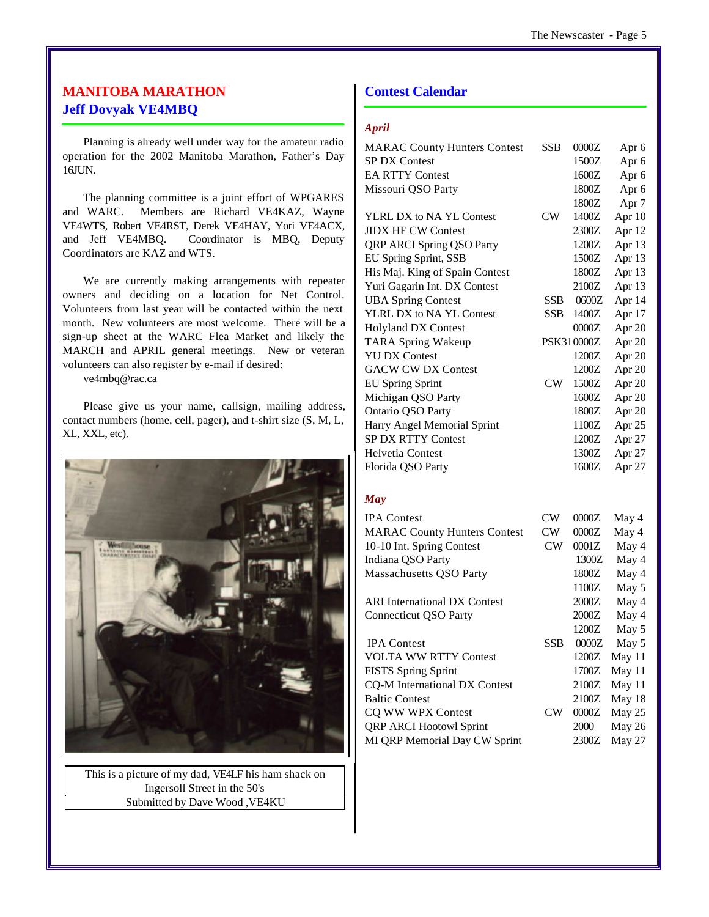# **MANITOBA MARATHON Jeff Dovyak VE4MBQ**

Planning is already well under way for the amateur radio operation for the 2002 Manitoba Marathon, Father's Day 16JUN.

The planning committee is a joint effort of WPGARES and WARC. Members are Richard VE4KAZ, Wayne VE4WTS, Robert VE4RST, Derek VE4HAY, Yori VE4ACX, and Jeff VE4MBQ. Coordinator is MBQ, Deputy Coordinators are KAZ and WTS.

We are currently making arrangements with repeater owners and deciding on a location for Net Control. Volunteers from last year will be contacted within the next month. New volunteers are most welcome. There will be a sign-up sheet at the WARC Flea Market and likely the MARCH and APRIL general meetings. New or veteran volunteers can also register by e-mail if desired:

ve4mbq@rac.ca

Please give us your name, callsign, mailing address, contact numbers (home, cell, pager), and t-shirt size (S, M, L, XL, XXL, etc).



This is a picture of my dad, VE4LF his ham shack on Ingersoll Street in the 50's Submitted by Dave Wood ,VE4KU

# **Contest Calendar**

#### *April*

| <b>MARAC County Hunters Contest</b> | <b>SSB</b> | 0000Z      | Apr 6            |
|-------------------------------------|------------|------------|------------------|
| <b>SP DX Contest</b>                |            | 1500Z      | Apr 6            |
| <b>EA RTTY Contest</b>              |            | 1600Z      | Apr 6            |
| Missouri QSO Party                  |            | 1800Z      | Apr 6            |
|                                     |            | 1800Z      | Apr <sub>7</sub> |
| YLRL DX to NA YL Contest            | CW         | 1400Z      | Apr 10           |
| <b>JIDX HF CW Contest</b>           |            | 2300Z      | Apr 12           |
| <b>QRP ARCI Spring QSO Party</b>    |            | 1200Z      | Apr 13           |
| EU Spring Sprint, SSB               |            | 1500Z      | Apr 13           |
| His Maj. King of Spain Contest      |            | 1800Z      | Apr 13           |
| Yuri Gagarin Int. DX Contest        |            | 2100Z      | Apr 13           |
| <b>UBA Spring Contest</b>           | <b>SSB</b> | 0600Z      | Apr 14           |
| YLRL DX to NA YL Contest            | <b>SSB</b> | 1400Z      | Apr 17           |
| <b>Holyland DX Contest</b>          |            | 0000Z      | Apr 20           |
| <b>TARA Spring Wakeup</b>           |            | PSK310000Z | Apr 20           |
| <b>YU DX Contest</b>                |            | 1200Z      | Apr 20           |
| <b>GACW CW DX Contest</b>           |            | 1200Z      | Apr 20           |
| <b>EU Spring Sprint</b>             | CW         | 1500Z      | Apr 20           |
| Michigan QSO Party                  |            | 1600Z      | Apr 20           |
| Ontario QSO Party                   |            | 1800Z      | Apr 20           |
| Harry Angel Memorial Sprint         |            | 1100Z      | Apr 25           |
| <b>SP DX RTTY Contest</b>           |            | 1200Z      | Apr 27           |
| <b>Helvetia Contest</b>             |            | 1300Z      | Apr 27           |
| Florida QSO Party                   |            | 1600Z      | Apr 27           |
|                                     |            |            |                  |
|                                     |            |            |                  |

# *May*

| <b>IPA</b> Contest                  | CW  | 0000Z | May 4    |
|-------------------------------------|-----|-------|----------|
| <b>MARAC County Hunters Contest</b> | CW  | 0000Z | May 4    |
| 10-10 Int. Spring Contest           | CW  | 0001Z | May 4    |
| Indiana QSO Party                   |     | 1300Z | May 4    |
| Massachusetts QSO Party             |     | 1800Z | May 4    |
|                                     |     | 1100Z | May 5    |
| <b>ARI</b> International DX Contest |     | 2000Z | May 4    |
| <b>Connecticut QSO Party</b>        |     | 2000Z | May 4    |
|                                     |     | 1200Z | May 5    |
| <b>IPA</b> Contest                  | SSB | 0000Z | May 5    |
| <b>VOLTA WW RTTY Contest</b>        |     | 1200Z | May $11$ |
| <b>FISTS Spring Sprint</b>          |     | 1700Z | May $11$ |
| CQ-M International DX Contest       |     | 2100Z | May 11   |
| <b>Baltic Contest</b>               |     | 2100Z | May 18   |
| CQ WW WPX Contest                   | CW  | 0000Z | May 25   |
| <b>QRP ARCI Hootowl Sprint</b>      |     | 2000  | May 26   |
| MI QRP Memorial Day CW Sprint       |     | 2300Z | May 27   |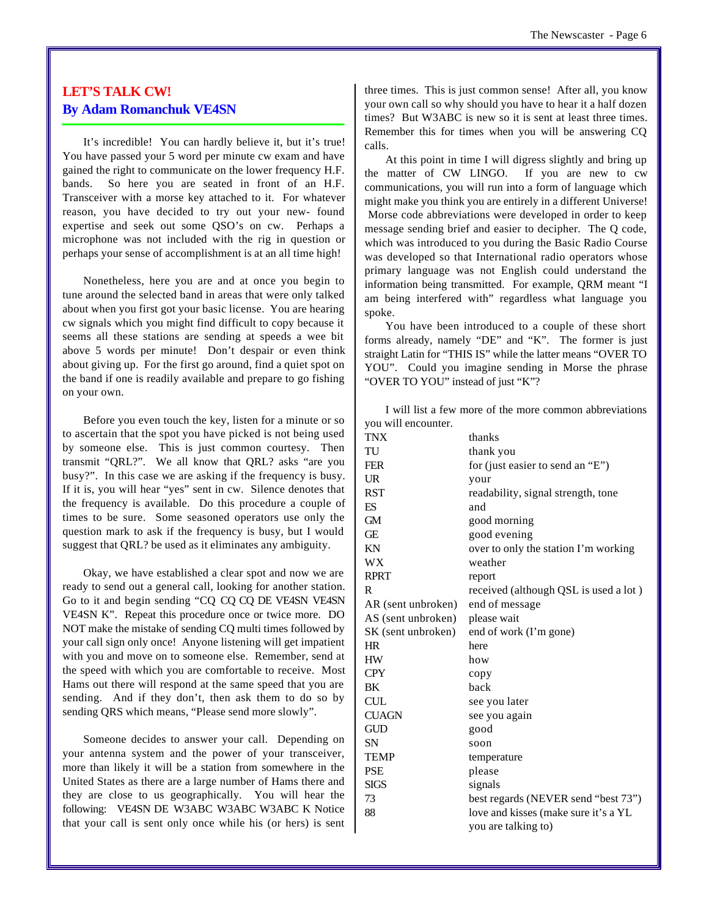# **LET'S TALK CW! By Adam Romanchuk VE4SN**

It's incredible! You can hardly believe it, but it's true! You have passed your 5 word per minute cw exam and have gained the right to communicate on the lower frequency H.F. bands. So here you are seated in front of an H.F. Transceiver with a morse key attached to it. For whatever reason, you have decided to try out your new- found expertise and seek out some QSO's on cw. Perhaps a microphone was not included with the rig in question or perhaps your sense of accomplishment is at an all time high!

Nonetheless, here you are and at once you begin to tune around the selected band in areas that were only talked about when you first got your basic license. You are hearing cw signals which you might find difficult to copy because it seems all these stations are sending at speeds a wee bit above 5 words per minute! Don't despair or even think about giving up. For the first go around, find a quiet spot on the band if one is readily available and prepare to go fishing on your own.

Before you even touch the key, listen for a minute or so to ascertain that the spot you have picked is not being used by someone else. This is just common courtesy. Then transmit "QRL?". We all know that QRL? asks "are you busy?". In this case we are asking if the frequency is busy. If it is, you will hear "yes" sent in cw. Silence denotes that the frequency is available. Do this procedure a couple of times to be sure. Some seasoned operators use only the question mark to ask if the frequency is busy, but I would suggest that QRL? be used as it eliminates any ambiguity.

Okay, we have established a clear spot and now we are ready to send out a general call, looking for another station. Go to it and begin sending "CQ CQ CQ DE VE4SN VE4SN VE4SN K". Repeat this procedure once or twice more. DO NOT make the mistake of sending CQ multi times followed by your call sign only once! Anyone listening will get impatient with you and move on to someone else. Remember, send at the speed with which you are comfortable to receive. Most Hams out there will respond at the same speed that you are sending. And if they don't, then ask them to do so by sending QRS which means, "Please send more slowly".

Someone decides to answer your call. Depending on your antenna system and the power of your transceiver, more than likely it will be a station from somewhere in the United States as there are a large number of Hams there and they are close to us geographically. You will hear the following: VE4SN DE W3ABC W3ABC W3ABC K Notice that your call is sent only once while his (or hers) is sent three times. This is just common sense! After all, you know your own call so why should you have to hear it a half dozen times? But W3ABC is new so it is sent at least three times. Remember this for times when you will be answering CQ calls.

At this point in time I will digress slightly and bring up the matter of CW LINGO. If you are new to cw communications, you will run into a form of language which might make you think you are entirely in a different Universe! Morse code abbreviations were developed in order to keep message sending brief and easier to decipher. The Q code, which was introduced to you during the Basic Radio Course was developed so that International radio operators whose primary language was not English could understand the information being transmitted. For example, QRM meant "I am being interfered with" regardless what language you spoke.

You have been introduced to a couple of these short forms already, namely "DE" and "K". The former is just straight Latin for "THIS IS" while the latter means "OVER TO YOU". Could you imagine sending in Morse the phrase "OVER TO YOU" instead of just "K"?

I will list a few more of the more common abbreviations you will encounter.

| <b>TNX</b>           | thanks                                |
|----------------------|---------------------------------------|
| TU                   | thank you                             |
| <b>FER</b>           | for (just easier to send an "E")      |
| UR                   | your                                  |
| RST                  | readability, signal strength, tone    |
| ES                   | and                                   |
| GM                   | good morning                          |
| Œ                    | good evening                          |
| KΝ                   | over to only the station I'm working  |
| WX                   | weather                               |
| <b>RPRT</b>          | report                                |
| R                    | received (although QSL is used a lot) |
| AR (sent unbroken)   | end of message                        |
| AS (sent unbroken)   | please wait                           |
| SK (sent unbroken)   | end of work (I'm gone)                |
| HR                   | here                                  |
| HW                   | how                                   |
| <b>CPY</b>           | copy                                  |
| BΚ                   | back                                  |
| CUL                  | see you later                         |
| <b>CUAGN</b>         | see you again                         |
| $\operatorname{GUD}$ | good                                  |
| SΝ                   | soon                                  |
| TEMP                 | temperature                           |
| PSE                  | please                                |
| SIGS                 | signals                               |
| 73                   | best regards (NEVER send "best 73")   |
| 88                   | love and kisses (make sure it's a YL  |
|                      | you are talking to)                   |
|                      |                                       |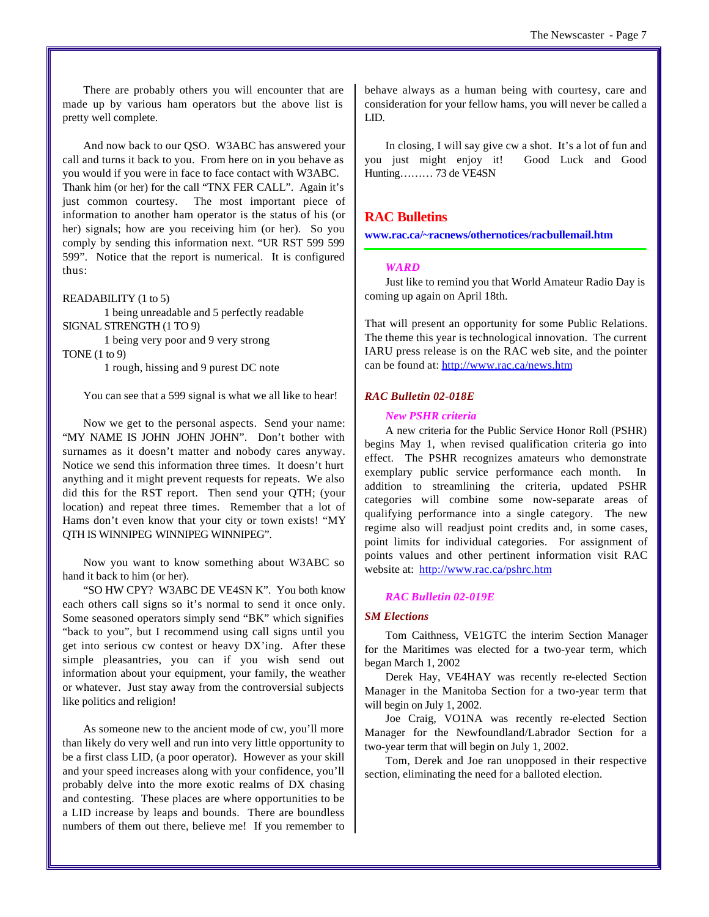There are probably others you will encounter that are made up by various ham operators but the above list is pretty well complete.

And now back to our QSO. W3ABC has answered your call and turns it back to you. From here on in you behave as you would if you were in face to face contact with W3ABC. Thank him (or her) for the call "TNX FER CALL". Again it's just common courtesy. The most important piece of information to another ham operator is the status of his (or her) signals; how are you receiving him (or her). So you comply by sending this information next. "UR RST 599 599 599". Notice that the report is numerical. It is configured thus:

#### READABILITY (1 to 5)

1 being unreadable and 5 perfectly readable SIGNAL STRENGTH (1 TO 9) 1 being very poor and 9 very strong

TONE (1 to 9)

1 rough, hissing and 9 purest DC note

You can see that a 599 signal is what we all like to hear!

Now we get to the personal aspects. Send your name: "MY NAME IS JOHN JOHN JOHN". Don't bother with surnames as it doesn't matter and nobody cares anyway. Notice we send this information three times. It doesn't hurt anything and it might prevent requests for repeats. We also did this for the RST report. Then send your QTH; (your location) and repeat three times. Remember that a lot of Hams don't even know that your city or town exists! "MY QTH IS WINNIPEG WINNIPEG WINNIPEG".

Now you want to know something about W3ABC so hand it back to him (or her).

"SO HW CPY? W3ABC DE VE4SN K". You both know each others call signs so it's normal to send it once only. Some seasoned operators simply send "BK" which signifies "back to you", but I recommend using call signs until you get into serious cw contest or heavy DX'ing. After these simple pleasantries, you can if you wish send out information about your equipment, your family, the weather or whatever. Just stay away from the controversial subjects like politics and religion!

As someone new to the ancient mode of cw, you'll more than likely do very well and run into very little opportunity to be a first class LID, (a poor operator). However as your skill and your speed increases along with your confidence, you'll probably delve into the more exotic realms of DX chasing and contesting. These places are where opportunities to be a LID increase by leaps and bounds. There are boundless numbers of them out there, believe me! If you remember to behave always as a human being with courtesy, care and consideration for your fellow hams, you will never be called a LID.

In closing, I will say give cw a shot. It's a lot of fun and you just might enjoy it! Good Luck and Good Hunting……… 73 de VE4SN

# **RAC Bulletins**

**www.rac.ca/~racnews/othernotices/racbullemail.htm**

#### *WARD*

Just like to remind you that World Amateur Radio Day is coming up again on April 18th.

That will present an opportunity for some Public Relations. The theme this year is technological innovation. The current IARU press release is on the RAC web site, and the pointer can be found at: <http://www.rac.ca/news.htm>

#### *RAC Bulletin 02-018E*

# *New PSHR criteria*

A new criteria for the Public Service Honor Roll (PSHR) begins May 1, when revised qualification criteria go into effect. The PSHR recognizes amateurs who demonstrate exemplary public service performance each month. In addition to streamlining the criteria, updated PSHR categories will combine some now-separate areas of qualifying performance into a single category. The new regime also will readjust point credits and, in some cases, point limits for individual categories. For assignment of points values and other pertinent information visit RAC website at: <http://www.rac.ca/pshrc.htm>

#### *RAC Bulletin 02-019E*

#### *SM Elections*

Tom Caithness, VE1GTC the interim Section Manager for the Maritimes was elected for a two-year term, which began March 1, 2002

Derek Hay, VE4HAY was recently re-elected Section Manager in the Manitoba Section for a two-year term that will begin on July 1, 2002.

Joe Craig, VO1NA was recently re-elected Section Manager for the Newfoundland/Labrador Section for a two-year term that will begin on July 1, 2002.

Tom, Derek and Joe ran unopposed in their respective section, eliminating the need for a balloted election.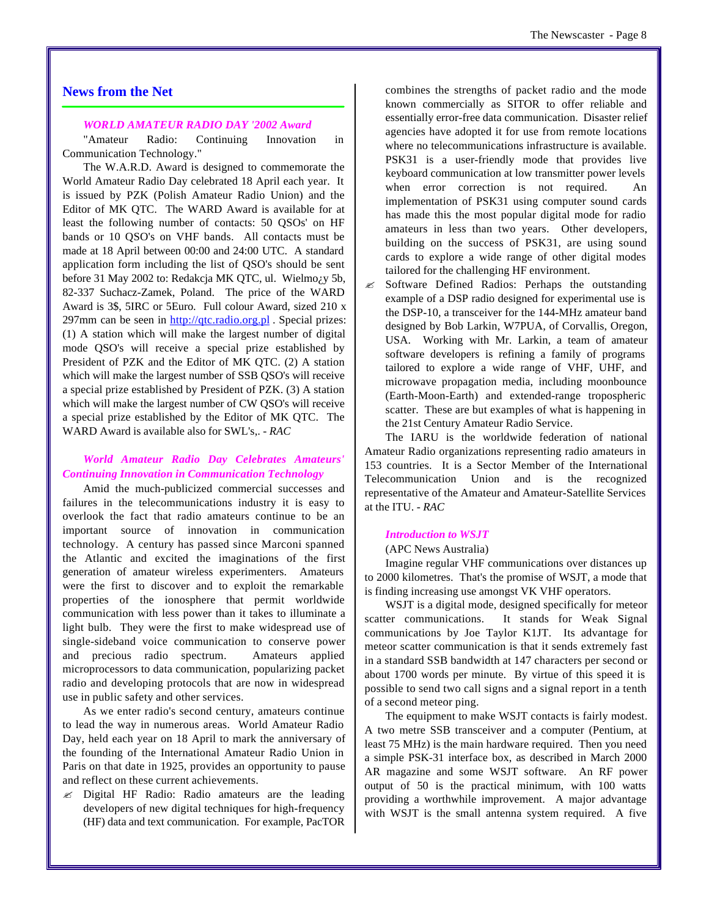#### *WORLD AMATEUR RADIO DAY '2002 Award*

"Amateur Radio: Continuing Innovation in Communication Technology."

The W.A.R.D. Award is designed to commemorate the World Amateur Radio Day celebrated 18 April each year. It is issued by PZK (Polish Amateur Radio Union) and the Editor of MK QTC. The WARD Award is available for at least the following number of contacts: 50 QSOs' on HF bands or 10 QSO's on VHF bands. All contacts must be made at 18 April between 00:00 and 24:00 UTC. A standard application form including the list of QSO's should be sent before 31 May 2002 to: Redakcja MK QTC, ul. Wielmo¿y 5b, 82-337 Suchacz-Zamek, Poland. The price of the WARD Award is 3\$, 5IRC or 5Euro. Full colour Award, sized 210 x 297mm can be seen in <http://qtc.radio.org.pl>. Special prizes: (1) A station which will make the largest number of digital mode QSO's will receive a special prize established by President of PZK and the Editor of MK QTC. (2) A station which will make the largest number of SSB QSO's will receive a special prize established by President of PZK. (3) A station which will make the largest number of CW QSO's will receive a special prize established by the Editor of MK QTC. The WARD Award is available also for SWL's,. *- RAC*

# *World Amateur Radio Day Celebrates Amateurs' Continuing Innovation in Communication Technology*

Amid the much-publicized commercial successes and failures in the telecommunications industry it is easy to overlook the fact that radio amateurs continue to be an important source of innovation in communication technology. A century has passed since Marconi spanned the Atlantic and excited the imaginations of the first generation of amateur wireless experimenters. Amateurs were the first to discover and to exploit the remarkable properties of the ionosphere that permit worldwide communication with less power than it takes to illuminate a light bulb. They were the first to make widespread use of single-sideband voice communication to conserve power and precious radio spectrum. Amateurs applied microprocessors to data communication, popularizing packet radio and developing protocols that are now in widespread use in public safety and other services.

As we enter radio's second century, amateurs continue to lead the way in numerous areas. World Amateur Radio Day, held each year on 18 April to mark the anniversary of the founding of the International Amateur Radio Union in Paris on that date in 1925, provides an opportunity to pause and reflect on these current achievements.

 $\mathscr{\mathscr{E}}$  Digital HF Radio: Radio amateurs are the leading developers of new digital techniques for high-frequency (HF) data and text communication. For example, PacTOR combines the strengths of packet radio and the mode known commercially as SITOR to offer reliable and essentially error-free data communication. Disaster relief agencies have adopted it for use from remote locations where no telecommunications infrastructure is available. PSK31 is a user-friendly mode that provides live keyboard communication at low transmitter power levels when error correction is not required. An implementation of PSK31 using computer sound cards has made this the most popular digital mode for radio amateurs in less than two years. Other developers, building on the success of PSK31, are using sound cards to explore a wide range of other digital modes tailored for the challenging HF environment.

 $\mathscr{\mathscr{E}}$  Software Defined Radios: Perhaps the outstanding example of a DSP radio designed for experimental use is the DSP-10, a transceiver for the 144-MHz amateur band designed by Bob Larkin, W7PUA, of Corvallis, Oregon, USA. Working with Mr. Larkin, a team of amateur software developers is refining a family of programs tailored to explore a wide range of VHF, UHF, and microwave propagation media, including moonbounce (Earth-Moon-Earth) and extended-range tropospheric scatter. These are but examples of what is happening in the 21st Century Amateur Radio Service.

The IARU is the worldwide federation of national Amateur Radio organizations representing radio amateurs in 153 countries. It is a Sector Member of the International Telecommunication Union and is the recognized representative of the Amateur and Amateur-Satellite Services at the ITU. *- RAC*

#### *Introduction to WSJT*

### (APC News Australia)

Imagine regular VHF communications over distances up to 2000 kilometres. That's the promise of WSJT, a mode that is finding increasing use amongst VK VHF operators.

WSJT is a digital mode, designed specifically for meteor scatter communications. It stands for Weak Signal communications by Joe Taylor K1JT. Its advantage for meteor scatter communication is that it sends extremely fast in a standard SSB bandwidth at 147 characters per second or about 1700 words per minute. By virtue of this speed it is possible to send two call signs and a signal report in a tenth of a second meteor ping.

The equipment to make WSJT contacts is fairly modest. A two metre SSB transceiver and a computer (Pentium, at least 75 MHz) is the main hardware required. Then you need a simple PSK-31 interface box, as described in March 2000 AR magazine and some WSJT software. An RF power output of 50 is the practical minimum, with 100 watts providing a worthwhile improvement. A major advantage with WSJT is the small antenna system required. A five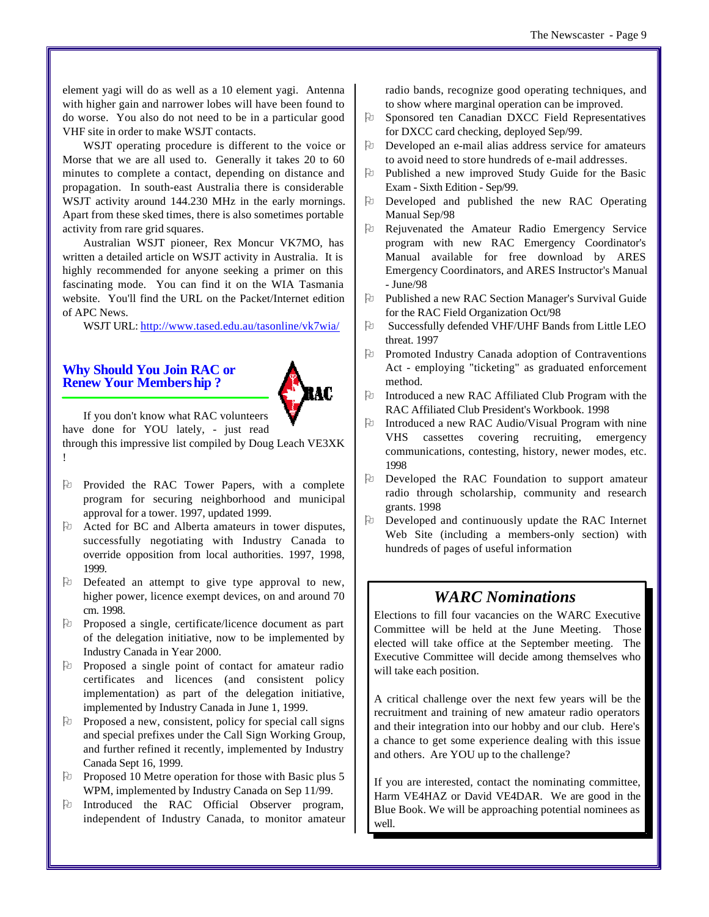element yagi will do as well as a 10 element yagi. Antenna with higher gain and narrower lobes will have been found to do worse. You also do not need to be in a particular good VHF site in order to make WSJT contacts.

WSJT operating procedure is different to the voice or Morse that we are all used to. Generally it takes 20 to 60 minutes to complete a contact, depending on distance and propagation. In south-east Australia there is considerable WSJT activity around 144.230 MHz in the early mornings. Apart from these sked times, there is also sometimes portable activity from rare grid squares.

Australian WSJT pioneer, Rex Moncur VK7MO, has written a detailed article on WSJT activity in Australia. It is highly recommended for anyone seeking a primer on this fascinating mode. You can find it on the WIA Tasmania website. You'll find the URL on the Packet/Internet edition of APC News.

WSJT URL: <http://www.tased.edu.au/tasonline/vk7wia/>

# **Why Should You Join RAC or Renew Your Membership ?**



If you don't know what RAC volunteers

have done for YOU lately, - just read

through this impressive list compiled by Doug Leach VE3XK !

- Pu Provided the RAC Tower Papers, with a complete program for securing neighborhood and municipal approval for a tower. 1997, updated 1999.
- $\upbeta$  Acted for BC and Alberta amateurs in tower disputes, successfully negotiating with Industry Canada to override opposition from local authorities. 1997, 1998, 1999.
- O Defeated an attempt to give type approval to new, higher power, licence exempt devices, on and around 70 cm. 1998.
- Po Proposed a single, certificate/licence document as part of the delegation initiative, now to be implemented by Industry Canada in Year 2000.
- $\Theta$  Proposed a single point of contact for amateur radio certificates and licences (and consistent policy implementation) as part of the delegation initiative, implemented by Industry Canada in June 1, 1999.
- $\Theta$  Proposed a new, consistent, policy for special call signs and special prefixes under the Call Sign Working Group, and further refined it recently, implemented by Industry Canada Sept 16, 1999.
- $\upbeta$  Proposed 10 Metre operation for those with Basic plus 5 WPM, implemented by Industry Canada on Sep 11/99.
- O Introduced the RAC Official Observer program, independent of Industry Canada, to monitor amateur

radio bands, recognize good operating techniques, and to show where marginal operation can be improved.

- $\upbeta$  Sponsored ten Canadian DXCC Field Representatives for DXCC card checking, deployed Sep/99.
- $\upbeta$  Developed an e-mail alias address service for amateurs to avoid need to store hundreds of e-mail addresses.
- $\upbeta$  Published a new improved Study Guide for the Basic Exam - Sixth Edition - Sep/99.
- $\upbeta$  Developed and published the new RAC Operating Manual Sep/98
- O Rejuvenated the Amateur Radio Emergency Service program with new RAC Emergency Coordinator's Manual available for free download by ARES Emergency Coordinators, and ARES Instructor's Manual - June/98
- O Published a new RAC Section Manager's Survival Guide for the RAC Field Organization Oct/98
- O Successfully defended VHF/UHF Bands from Little LEO threat. 1997
- O Promoted Industry Canada adoption of Contraventions Act - employing "ticketing" as graduated enforcement method.
- O Introduced a new RAC Affiliated Club Program with the RAC Affiliated Club President's Workbook. 1998
- $\upbeta$  Introduced a new RAC Audio/Visual Program with nine VHS cassettes covering recruiting, emergency communications, contesting, history, newer modes, etc. 1998
- $\upbeta$  Developed the RAC Foundation to support amateur radio through scholarship, community and research grants. 1998
- O Developed and continuously update the RAC Internet Web Site (including a members-only section) with hundreds of pages of useful information

# *WARC Nominations*

Elections to fill four vacancies on the WARC Executive Committee will be held at the June Meeting. Those elected will take office at the September meeting. The Executive Committee will decide among themselves who will take each position.

A critical challenge over the next few years will be the recruitment and training of new amateur radio operators and their integration into our hobby and our club. Here's a chance to get some experience dealing with this issue and others. Are YOU up to the challenge?

If you are interested, contact the nominating committee, Harm VE4HAZ or David VE4DAR. We are good in the Blue Book. We will be approaching potential nominees as well.